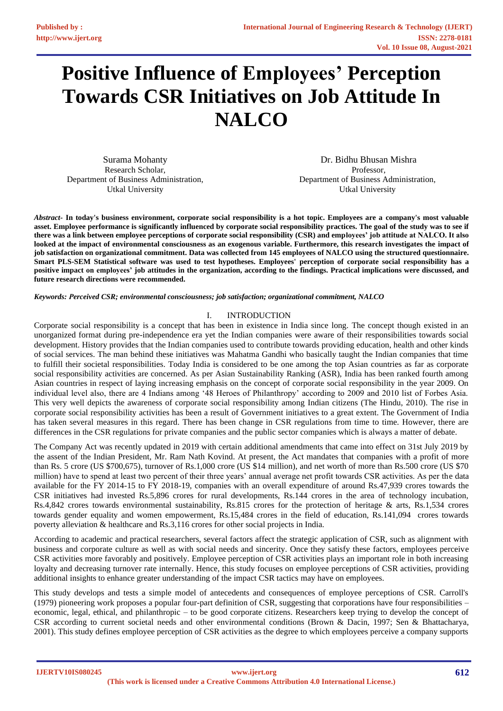# **Positive Influence of Employees' Perception Towards CSR Initiatives on Job Attitude In NALCO**

Surama Mohanty Research Scholar, Department of Business Administration, Utkal University

Dr. Bidhu Bhusan Mishra Professor, Department of Business Administration, Utkal University

Abstract- In today's business environment, corporate social responsibility is a hot topic. Employees are a company's most valuable **asset. Employee performance is significantly influenced by corporate social responsibility practices. The goal of the study was to see if there was a link between employee perceptions of corporate social responsibility (CSR) and employees' job attitude at NALCO. It also looked at the impact of environmental consciousness as an exogenous variable. Furthermore, this research investigates the impact of job satisfaction on organizational commitment. Data was collected from 145 employees of NALCO using the structured questionnaire.**  Smart PLS-SEM Statistical software was used to test hypotheses. Employees' perception of corporate social responsibility has a **positive impact on employees' job attitudes in the organization, according to the findings. Practical implications were discussed, and future research directions were recommended.** 

*Keywords: Perceived CSR; environmental consciousness; job satisfaction; organizational commitment, NALCO* 

## I. INTRODUCTION

Corporate social responsibility is a concept that has been in existence in India since long. The concept though existed in an unorganized format during pre-independence era yet the Indian companies were aware of their responsibilities towards social development. History provides that the Indian companies used to contribute towards providing education, health and other kinds of social services. The man behind these initiatives was Mahatma Gandhi who basically taught the Indian companies that time to fulfill their societal responsibilities. Today India is considered to be one among the top Asian countries as far as corporate social responsibility activities are concerned. As per Asian Sustainability Ranking (ASR), India has been ranked fourth among Asian countries in respect of laying increasing emphasis on the concept of corporate social responsibility in the year 2009. On individual level also, there are 4 Indians among '48 Heroes of Philanthropy' according to 2009 and 2010 list of Forbes Asia. This very well depicts the awareness of corporate social responsibility among Indian citizens (The Hindu, 2010). The rise in corporate social responsibility activities has been a result of Government initiatives to a great extent. The Government of India has taken several measures in this regard. There has been change in CSR regulations from time to time. However, there are differences in the CSR regulations for private companies and the public sector companies which is always a matter of debate.

The Company Act was recently updated in 2019 with certain additional amendments that came into effect on 31st July 2019 by the assent of the Indian President, Mr. Ram Nath Kovind. At present, the Act mandates that companies with a profit of more than Rs. 5 crore (US \$700,675), turnover of Rs.1,000 crore (US \$14 million), and net worth of more than Rs.500 crore (US \$70 million) have to spend at least two percent of their three years' annual average net profit towards CSR activities. As per the data available for the FY 2014-15 to FY 2018-19, companies with an overall expenditure of around Rs.47,939 crores towards the CSR initiatives had invested Rs.5,896 crores for rural developments, Rs.144 crores in the area of technology incubation, Rs.4,842 crores towards environmental sustainability, Rs.815 crores for the protection of heritage & arts, Rs.1,534 crores towards gender equality and women empowerment, Rs.15,484 crores in the field of education, Rs.141,094 crores towards poverty alleviation & healthcare and Rs.3,116 crores for other social projects in India.

According to academic and practical researchers, several factors affect the strategic application of CSR, such as alignment with business and corporate culture as well as with social needs and sincerity. Once they satisfy these factors, employees perceive CSR activities more favorably and positively. Employee perception of CSR activities plays an important role in both increasing loyalty and decreasing turnover rate internally. Hence, this study focuses on employee perceptions of CSR activities, providing additional insights to enhance greater understanding of the impact CSR tactics may have on employees.

This study develops and tests a simple model of antecedents and consequences of employee perceptions of CSR. Carroll's (1979) pioneering work proposes a popular four-part definition of CSR, suggesting that corporations have four responsibilities – economic, legal, ethical, and philanthropic – to be good corporate citizens. Researchers keep trying to develop the concept of CSR according to current societal needs and other environmental conditions (Brown & Dacin, 1997; Sen & Bhattacharya, 2001). This study defines employee perception of CSR activities as the degree to which employees perceive a company supports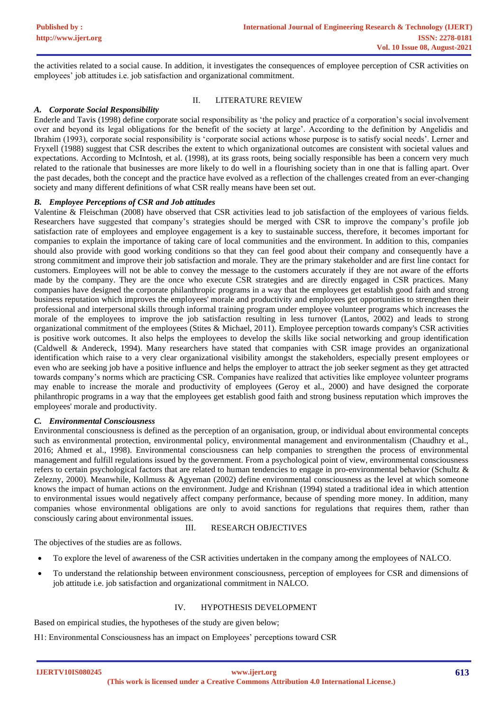the activities related to a social cause. In addition, it investigates the consequences of employee perception of CSR activities on employees' job attitudes i.e. job satisfaction and organizational commitment.

## II. LITERATURE REVIEW

## *A. Corporate Social Responsibility*

Enderle and Tavis (1998) define corporate social responsibility as 'the policy and practice of a corporation's social involvement over and beyond its legal obligations for the benefit of the society at large'. According to the definition by Angelidis and Ibrahim (1993), corporate social responsibility is 'corporate social actions whose purpose is to satisfy social needs'. Lerner and Fryxell (1988) suggest that CSR describes the extent to which organizational outcomes are consistent with societal values and expectations. According to McIntosh, et al. (1998), at its grass roots, being socially responsible has been a concern very much related to the rationale that businesses are more likely to do well in a flourishing society than in one that is falling apart. Over the past decades, both the concept and the practice have evolved as a reflection of the challenges created from an ever-changing society and many different definitions of what CSR really means have been set out.

## *B. Employee Perceptions of CSR and Job attitudes*

Valentine & Fleischman (2008) have observed that CSR activities lead to job satisfaction of the employees of various fields. Researchers have suggested that company's strategies should be merged with CSR to improve the company's profile job satisfaction rate of employees and employee engagement is a key to sustainable success, therefore, it becomes important for companies to explain the importance of taking care of local communities and the environment. In addition to this, companies should also provide with good working conditions so that they can feel good about their company and consequently have a strong commitment and improve their job satisfaction and morale. They are the primary stakeholder and are first line contact for customers. Employees will not be able to convey the message to the customers accurately if they are not aware of the efforts made by the company. They are the once who execute CSR strategies and are directly engaged in CSR practices. Many companies have designed the corporate philanthropic programs in a way that the employees get establish good faith and strong business reputation which improves the employees' morale and productivity and employees get opportunities to strengthen their professional and interpersonal skills through informal training program under employee volunteer programs which increases the morale of the employees to improve the job satisfaction resulting in less turnover (Lantos, 2002) and leads to strong organizational commitment of the employees (Stites & Michael, 2011). Employee perception towards company's CSR activities is positive work outcomes. It also helps the employees to develop the skills like social networking and group identification (Caldwell & Andereck, 1994). Many researchers have stated that companies with CSR image provides an organizational identification which raise to a very clear organizational visibility amongst the stakeholders, especially present employees or even who are seeking job have a positive influence and helps the employer to attract the job seeker segment as they get attracted towards company's norms which are practicing CSR. Companies have realized that activities like employee volunteer programs may enable to increase the morale and productivity of employees (Geroy et al., 2000) and have designed the corporate philanthropic programs in a way that the employees get establish good faith and strong business reputation which improves the employees' morale and productivity.

## *C. Environmental Consciousness*

Environmental consciousness is defined as the perception of an organisation, group, or individual about environmental concepts such as environmental protection, environmental policy, environmental management and environmentalism (Chaudhry et al., 2016; Ahmed et al., 1998). Environmental consciousness can help companies to strengthen the process of environmental management and fulfill regulations issued by the government. From a psychological point of view, environmental consciousness refers to certain psychological factors that are related to human tendencies to engage in pro-environmental behavior (Schultz & Zelezny, 2000). Meanwhile, Kollmuss & Agyeman (2002) define environmental consciousness as the level at which someone knows the impact of human actions on the environment. Judge and Krishnan (1994) stated a traditional idea in which attention to environmental issues would negatively affect company performance, because of spending more money. In addition, many companies whose environmental obligations are only to avoid sanctions for regulations that requires them, rather than consciously caring about environmental issues.

### III. RESEARCH OBJECTIVES

The objectives of the studies are as follows.

- To explore the level of awareness of the CSR activities undertaken in the company among the employees of NALCO.
- To understand the relationship between environment consciousness, perception of employees for CSR and dimensions of job attitude i.e. job satisfaction and organizational commitment in NALCO.

### IV. HYPOTHESIS DEVELOPMENT

Based on empirical studies, the hypotheses of the study are given below;

H1: Environmental Consciousness has an impact on Employees' perceptions toward CSR

**IJERTV10IS080245**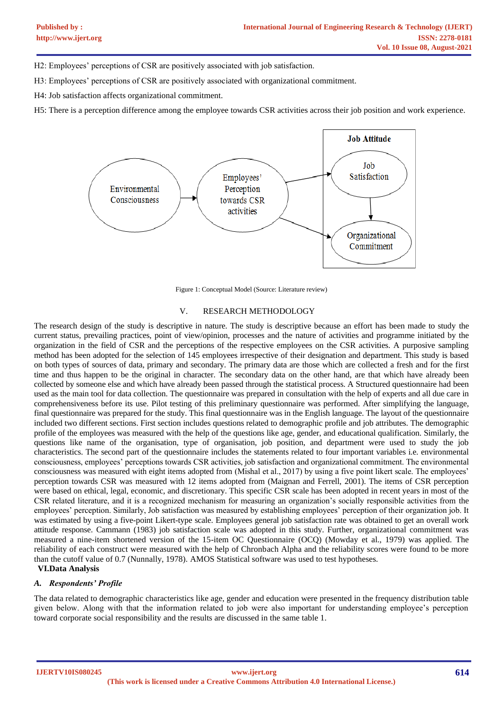H2: Employees' perceptions of CSR are positively associated with job satisfaction.

H3: Employees' perceptions of CSR are positively associated with organizational commitment.

H4: Job satisfaction affects organizational commitment.

H5: There is a perception difference among the employee towards CSR activities across their job position and work experience.



Figure 1: Conceptual Model (Source: Literature review)

#### V. RESEARCH METHODOLOGY

The research design of the study is descriptive in nature. The study is descriptive because an effort has been made to study the current status, prevailing practices, point of view/opinion, processes and the nature of activities and programme initiated by the organization in the field of CSR and the perceptions of the respective employees on the CSR activities. A purposive sampling method has been adopted for the selection of 145 employees irrespective of their designation and department. This study is based on both types of sources of data, primary and secondary. The primary data are those which are collected a fresh and for the first time and thus happen to be the original in character. The secondary data on the other hand, are that which have already been collected by someone else and which have already been passed through the statistical process. A Structured questionnaire had been used as the main tool for data collection. The questionnaire was prepared in consultation with the help of experts and all due care in comprehensiveness before its use. Pilot testing of this preliminary questionnaire was performed. After simplifying the language, final questionnaire was prepared for the study. This final questionnaire was in the English language. The layout of the questionnaire included two different sections. First section includes questions related to demographic profile and job attributes. The demographic profile of the employees was measured with the help of the questions like age, gender, and educational qualification. Similarly, the questions like name of the organisation, type of organisation, job position, and department were used to study the job characteristics. The second part of the questionnaire includes the statements related to four important variables i.e. environmental consciousness, employees' perceptions towards CSR activities, job satisfaction and organizational commitment. The environmental consciousness was measured with eight items adopted from (Mishal et al., 2017) by using a five point likert scale. The employees' perception towards CSR was measured with 12 items adopted from (Maignan and Ferrell, 2001). The items of CSR perception were based on ethical, legal, economic, and discretionary. This specific CSR scale has been adopted in recent years in most of the CSR related literature, and it is a recognized mechanism for measuring an organization's socially responsible activities from the employees' perception. Similarly, Job satisfaction was measured by establishing employees' perception of their organization job. It was estimated by using a five-point Likert-type scale. Employees general job satisfaction rate was obtained to get an overall work attitude response. Cammann (1983) job satisfaction scale was adopted in this study. Further, organizational commitment was measured a nine-item shortened version of the 15-item OC Questionnaire (OCQ) (Mowday et al., 1979) was applied. The reliability of each construct were measured with the help of Chronbach Alpha and the reliability scores were found to be more than the cutoff value of 0.7 (Nunnally, 1978). AMOS Statistical software was used to test hypotheses.

**VI.Data Analysis**

#### *A. Respondents' Profile*

The data related to demographic characteristics like age, gender and education were presented in the frequency distribution table given below. Along with that the information related to job were also important for understanding employee's perception toward corporate social responsibility and the results are discussed in the same table 1.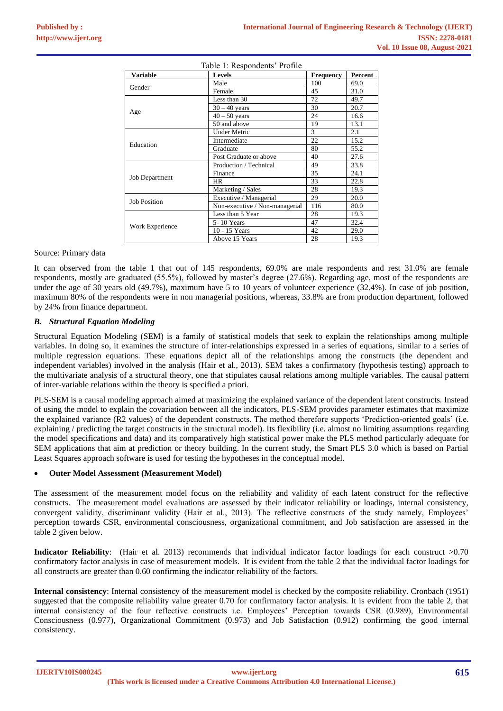| <b>Variable</b>       | Levels                         | <b>Frequency</b> | Percent |
|-----------------------|--------------------------------|------------------|---------|
| Gender                | Male                           | 100              | 69.0    |
|                       | Female                         | 45               | 31.0    |
|                       | Less than 30                   | 72               | 49.7    |
|                       | $30 - 40$ years                | 30               | 20.7    |
| Age                   | $40 - 50$ years                | 24               | 16.6    |
|                       | 50 and above                   | 19               | 13.1    |
| Education             | <b>Under Metric</b>            | 3                | 2.1     |
|                       | Intermediate                   | 22               | 15.2    |
|                       | Graduate                       | 80               | 55.2    |
|                       | Post Graduate or above         | 40               | 27.6    |
| <b>Job Department</b> | Production / Technical         | 49               | 33.8    |
|                       | Finance                        | 35               | 24.1    |
|                       | <b>HR</b>                      | 33               | 22.8    |
|                       | Marketing / Sales              | 28               | 19.3    |
| <b>Job Position</b>   | Executive / Managerial         | 29               | 20.0    |
|                       | Non-executive / Non-managerial | 116              | 80.0    |
| Work Experience       | Less than 5 Year               | 28               | 19.3    |
|                       | 5-10 Years                     | 47               | 32.4    |
|                       | 10 - 15 Years                  | 42               | 29.0    |
|                       | Above 15 Years                 | 28               | 19.3    |

 $T = 11.1 \, \text{m}$   $T = 1.1 \, \text{m}$   $T = 1.1 \, \text{m}$ 

#### Source: Primary data

It can observed from the table 1 that out of 145 respondents, 69.0% are male respondents and rest 31.0% are female respondents, mostly are graduated (55.5%), followed by master's degree (27.6%). Regarding age, most of the respondents are under the age of 30 years old (49.7%), maximum have 5 to 10 years of volunteer experience (32.4%). In case of job position, maximum 80% of the respondents were in non managerial positions, whereas, 33.8% are from production department, followed by 24% from finance department.

## *B. Structural Equation Modeling*

Structural Equation Modeling (SEM) is a family of statistical models that seek to explain the relationships among multiple variables. In doing so, it examines the structure of inter-relationships expressed in a series of equations, similar to a series of multiple regression equations. These equations depict all of the relationships among the constructs (the dependent and independent variables) involved in the analysis (Hair et al., 2013). SEM takes a confirmatory (hypothesis testing) approach to the multivariate analysis of a structural theory, one that stipulates causal relations among multiple variables. The causal pattern of inter-variable relations within the theory is specified a priori.

PLS-SEM is a causal modeling approach aimed at maximizing the explained variance of the dependent latent constructs. Instead of using the model to explain the covariation between all the indicators, PLS-SEM provides parameter estimates that maximize the explained variance (R2 values) of the dependent constructs. The method therefore supports 'Prediction-oriented goals' (i.e. explaining / predicting the target constructs in the structural model). Its flexibility (i.e. almost no limiting assumptions regarding the model specifications and data) and its comparatively high statistical power make the PLS method particularly adequate for SEM applications that aim at prediction or theory building. In the current study, the Smart PLS 3.0 which is based on Partial Least Squares approach software is used for testing the hypotheses in the conceptual model.

## • **Outer Model Assessment (Measurement Model)**

The assessment of the measurement model focus on the reliability and validity of each latent construct for the reflective constructs. The measurement model evaluations are assessed by their indicator reliability or loadings, internal consistency, convergent validity, discriminant validity (Hair et al., 2013). The reflective constructs of the study namely, Employees' perception towards CSR, environmental consciousness, organizational commitment, and Job satisfaction are assessed in the table 2 given below.

**Indicator Reliability**: (Hair et al. 2013) recommends that individual indicator factor loadings for each construct  $>0.70$ confirmatory factor analysis in case of measurement models. It is evident from the table 2 that the individual factor loadings for all constructs are greater than 0.60 confirming the indicator reliability of the factors.

**Internal consistency**: Internal consistency of the measurement model is checked by the composite reliability. Cronbach (1951) suggested that the composite reliability value greater 0.70 for confirmatory factor analysis. It is evident from the table 2, that internal consistency of the four reflective constructs i.e. Employees' Perception towards CSR (0.989), Environmental Consciousness (0.977), Organizational Commitment (0.973) and Job Satisfaction (0.912) confirming the good internal consistency.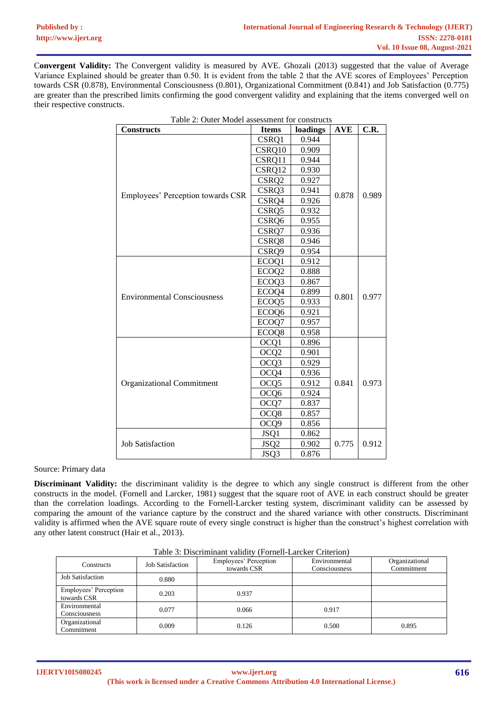C**onvergent Validity:** The Convergent validity is measured by AVE. Ghozali (2013) suggested that the value of Average Variance Explained should be greater than 0.50. It is evident from the table 2 that the AVE scores of Employees' Perception towards CSR (0.878), Environmental Consciousness (0.801), Organizational Commitment (0.841) and Job Satisfaction (0.775) are greater than the prescribed limits confirming the good convergent validity and explaining that the items converged well on their respective constructs.

| Table 2: Outer Model assessment for constructs |                   |          |            |       |  |
|------------------------------------------------|-------------------|----------|------------|-------|--|
| <b>Constructs</b>                              | <b>Items</b>      | loadings | <b>AVE</b> | C.R.  |  |
|                                                | CSRQ1             | 0.944    |            | 0.989 |  |
|                                                | CSRQ10            | 0.909    |            |       |  |
|                                                | CSRQ11            | 0.944    | 0.878      |       |  |
|                                                | CSRQ12            | 0.930    |            |       |  |
|                                                | CSRQ <sub>2</sub> | 0.927    |            |       |  |
|                                                | CSRQ3             | 0.941    |            |       |  |
| Employees' Perception towards CSR              | CSRQ4             | 0.926    |            |       |  |
|                                                | CSRQ5             | 0.932    |            |       |  |
|                                                | CSRQ6             | 0.955    |            |       |  |
|                                                | CSRQ7             | 0.936    |            |       |  |
|                                                | CSRQ8             | 0.946    |            |       |  |
|                                                | CSRQ9             | 0.954    |            |       |  |
|                                                | ECOQ1             | 0.912    | 0.801      | 0.977 |  |
|                                                | ECOQ <sub>2</sub> | 0.888    |            |       |  |
|                                                | ECOQ3             | 0.867    |            |       |  |
| <b>Environmental Consciousness</b>             | ECOQ4             | 0.899    |            |       |  |
|                                                | ECOQ <sub>5</sub> | 0.933    |            |       |  |
|                                                | ECOQ6             | 0.921    |            |       |  |
|                                                | ECOQ7             | 0.957    |            |       |  |
|                                                | ECOQ8             | 0.958    |            |       |  |
|                                                | OCQ1              | 0.896    | 0.841      | 0.973 |  |
|                                                | OCQ <sub>2</sub>  | 0.901    |            |       |  |
|                                                | OCQ3              | 0.929    |            |       |  |
|                                                | OCQ4              | 0.936    |            |       |  |
| <b>Organizational Commitment</b>               | OCQ <sub>5</sub>  | 0.912    |            |       |  |
|                                                | OCQ <sub>6</sub>  | 0.924    |            |       |  |
|                                                | OCQ7              | 0.837    |            |       |  |
|                                                | OCQ8              | 0.857    |            |       |  |
|                                                | OCQ <sub>9</sub>  | 0.856    |            |       |  |
|                                                | JSQ1              | 0.862    | 0.775      | 0.912 |  |
| <b>Job Satisfaction</b>                        | JSQ <sub>2</sub>  | 0.902    |            |       |  |
|                                                | JSQ3              | 0.876    |            |       |  |

#### Source: Primary data

**Discriminant Validity:** the discriminant validity is the degree to which any single construct is different from the other constructs in the model. (Fornell and Larcker, 1981) suggest that the square root of AVE in each construct should be greater than the correlation loadings. According to the Fornell-Larcker testing system, discriminant validity can be assessed by comparing the amount of the variance capture by the construct and the shared variance with other constructs. Discriminant validity is affirmed when the AVE square route of every single construct is higher than the construct's highest correlation with any other latent construct (Hair et al., 2013).

| Constructs                           | <b>Job Satisfaction</b> | Employees' Perception<br>towards CSR | Environmental<br>Consciousness | Organizational<br>Commitment |
|--------------------------------------|-------------------------|--------------------------------------|--------------------------------|------------------------------|
| <b>Job Satisfaction</b>              | 0.880                   |                                      |                                |                              |
| Employees' Perception<br>towards CSR | 0.203                   | 0.937                                |                                |                              |
| Environmental<br>Consciousness       | 0.077                   | 0.066                                | 0.917                          |                              |
| Organizational<br>Commitment         | 0.009                   | 0.126                                | 0.500                          | 0.895                        |

Table 3: Discriminant validity (Fornell-Larcker Criterion)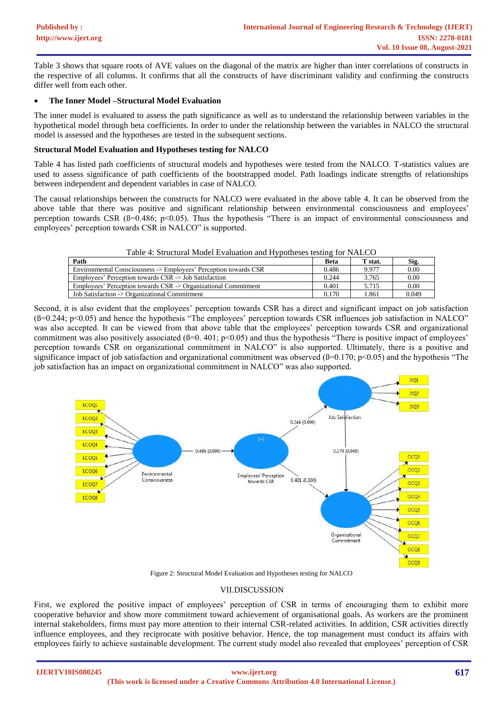Table 3 shows that square roots of AVE values on the diagonal of the matrix are higher than inter correlations of constructs in the respective of all columns. It confirms that all the constructs of have discriminant validity and confirming the constructs differ well from each other.

## • **The Inner Model –Structural Model Evaluation**

The inner model is evaluated to assess the path significance as well as to understand the relationship between variables in the hypothetical model through beta coefficients. In order to under the relationship between the variables in NALCO the structural model is assessed and the hypotheses are tested in the subsequent sections.

## **Structural Model Evaluation and Hypotheses testing for NALCO**

Table 4 has listed path coefficients of structural models and hypotheses were tested from the NALCO. T-statistics values are used to assess significance of path coefficients of the bootstrapped model. Path loadings indicate strengths of relationships between independent and dependent variables in case of NALCO.

The causal relationships between the constructs for NALCO were evaluated in the above table 4. It can be observed from the above table that there was positive and significant relationship between environmental consciousness and employees' perception towards CSR  $(\beta=0.486; p<0.05)$ . Thus the hypothesis "There is an impact of environmental consciousness and employees' perception towards CSR in NALCO" is supported.

| Table 4: Structural Model Evaluation and Hypotheses testing for NALCO |  |  |  |
|-----------------------------------------------------------------------|--|--|--|
|                                                                       |  |  |  |

| Path                                                             | Beta  | T stat. | Sig.  |
|------------------------------------------------------------------|-------|---------|-------|
| Environmental Consciousness -> Employees' Perception towards CSR | 0.486 | 9.977   | 0.00  |
| Employees' Perception towards CSR -> Job Satisfaction            | 0.244 | 3.765   | 0.00  |
| Employees' Perception towards CSR -> Organizational Commitment   | 0.401 | 5.715   | 0.00  |
| Job Satisfaction -> Organizational Commitment                    | 0.170 | 1.861   | 0.049 |

Second, it is also evident that the employees' perception towards CSR has a direct and significant impact on job satisfaction (ß=0.244; p<0.05) and hence the hypothesis "The employees' perception towards CSR influences job satisfaction in NALCO" was also accepted. It can be viewed from that above table that the employees' perception towards CSR and organizational commitment was also positively associated  $(B=0. 401; p<0.05)$  and thus the hypothesis "There is positive impact of employees' perception towards CSR on organizational commitment in NALCO" is also supported. Ultimately, there is a positive and significance impact of job satisfaction and organizational commitment was observed ( $\beta$ =0.170; p<0.05) and the hypothesis "The job satisfaction has an impact on organizational commitment in NALCO" was also supported.



Figure 2: Structural Model Evaluation and Hypotheses testing for NALCO

## VII.DISCUSSION

First, we explored the positive impact of employees' perception of CSR in terms of encouraging them to exhibit more cooperative behavior and show more commitment toward achievement of organisational goals. As workers are the prominent internal stakeholders, firms must pay more attention to their internal CSR-related activities. In addition, CSR activities directly influence employees, and they reciprocate with positive behavior. Hence, the top management must conduct its affairs with employees fairly to achieve sustainable development. The current study model also revealed that employees' perception of CSR